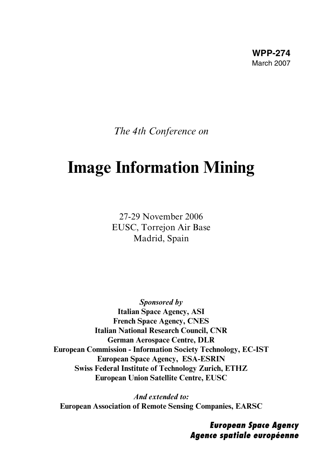**WPP-274** March 2007

*The 4th Conference on*

# **Image Information Mining**

27-29 November 2006 EUSC, Torrejon Air Base Madrid, Spain

**Sponsored by Italian Space Agency, ASI French Space Agency, CNES Italian National Research Council, CNR German Aerospace Centre, DLR European Commission - Information Society Technology, EC-IST European Space Agency, ESA-ESRIN Swiss Federal Institute of Technology Zurich, ETHZ European Union Satellite Centre, EUSC**

**And extended to: European Association of Remote Sensing Companies, EARSC**

> **European Space Agency** Agence spatiale européenne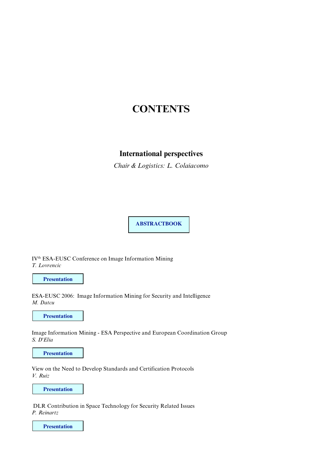## **CONTENTS**

## **International perspectives**

*Chair & Logistics: L. Colaiacomo*

**ABSTRACTBOOK**

IV<sup>th</sup> ESA-EUSC Conference on Image Information Mining *T. Lovrencic*

**Presentation**

ESA-EUSC 2006: Image Information Mining for Security and Intelligence *M. Datcu*

**Presentation**

Image Information Mining - ESA Perspective and European Coordination Group *S. D'Elia*

**Presentation**

View on the Need to Develop Standards and Certification Protocols *V. Ruiz*

**Presentation**

DLR Contribution in Space Technology for Security Related Issues *P. Reinartz*

**Presentation**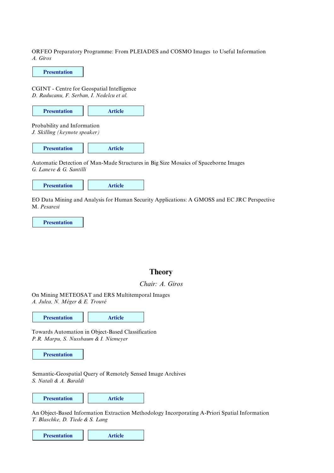ORFEO Preparatory Programme: From PLEIADES and COSMO Images to Useful Information *A. Giros*

**Presentation**

CGINT - Centre for Geospatial Intelligence *D. Raducanu, F. Serban, I. Nedelcu et al.* 

Probability and Information *J. Skilling (keynote speaker)* **Presentation Article**

| <b>Presentation</b> | <b>Article</b> |
|---------------------|----------------|
|                     |                |

Automatic Detection of Man-Made Structures in Big Size Mosaics of Spaceborne Images *G. Laneve & G. Santilli*



EO Data Mining and Analysis for Human Security Applications: A GMOSS and EC JRC Perspective M. *Pesaresi*

**Presentation**

## **Theory**

#### *Chair: A. Giros*

On Mining METEOSAT and ERS Multitemporal Images *A. Julea, N. Méger & E. Trouvé*

**Presentation Article** 

Towards Automation in Object-Based Classification *P.R. Marpu, S. Nussbaum & I. Niemeyer*

**Presentation**

*S. Natali & A. Baraldi*  Semantic-Geospatial Query of Remotely Sensed Image Archives

**Presentation Article**

An Object-Based Information Extraction Methodology Incorporating A-Priori Spatial Information *T. Blaschke, D. Tiede & S. Lang*

```
Presentation Article
```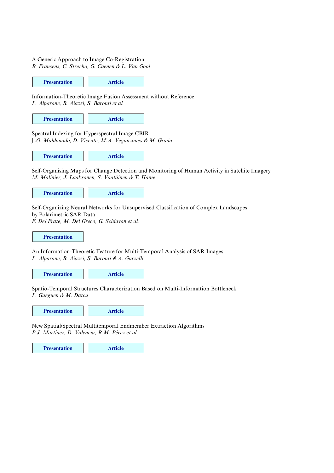#### A Generic Approach to Image Co-Registration

*R. Fransens, C. Strecha, G. Caenen & L. Van Gool*

**Presentation Article**

Information-Theoretic Image Fusion Assessment without Reference *L. Alparone, B. Aiazzi, S. Baronti et al.*

**Presentation Article**

Spectral Indexing for Hyperspectral Image CBIR *J.O. Maldonado, D. Vicente, M.A. Veganzones & M. Graña* 

**Presentation Article**

Self-Organising Maps for Change Detection and Monitoring of Human Activity in Satellite Imagery *M. Molinier, J. Laaksonen, S. Väätäinen & T. Häme*

**Presentation Article**

Self-Organizing Neural Networks for Unsupervised Classification of Complex Landscapes by Polarimetric SAR Data

*F. Del Frate, M. Del Greco, G. Schiavon et al.*

**Presentation**

An Information-Theoretic Feature for Multi-Temporal Analysis of SAR Images *L. Alparone, B. Aiazzi, S. Baronti & A. Garzelli*

**Presentation Article**

Spatio-Temporal Structures Characterization Based on Multi-Information Bottleneck *L. Gueguen & M. Datcu*

**Presentation Article** 

New Spatial/Spectral Multitemporal Endmember Extraction Algorithms *P.J. Martínez, D. Valencia, R.M. Pérez et al.*

**Presentation Article**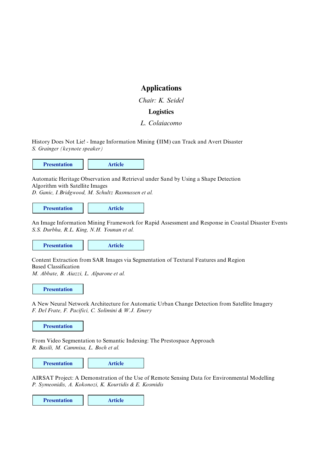## **Applications**

*Chair: K. Seidel*

#### **Logistics**

#### *L. Colaiacomo*

History Does Not Lie! - Image Information Mining **(**IIM) can Track and Avert Disaster *S. Grainger (keynote speaker)*

**Presentation Article** 

Automatic Heritage Observation and Retrieval under Sand by Using a Shape Detection Algorithm with Satellite Images

*D. Ganic, I.Bridgwood, M. Schultz Rasmussen et al.*

**Presentation Article** 

An Image Information Mining Framework for Rapid Assessment and Response in Coastal Disaster Events *S.S. Durbha, R.L. King, N.H. Younan et al.*

**Presentation Article** 

Content Extraction from SAR Images via Segmentation of Textural Features and Region Based Classification *M. Abbate, B. Aiazzi, L. Alparone et al.*

**Presentation**

A New Neural Network Architecture for Automatic Urban Change Detection from Satellite Imagery *F. Del Frate, F. Pacifici, C. Solimini & W.J. Emery*

**Presentation**

From Video Segmentation to Semantic Indexing: The Prestospace Approach *R. Basili, M. Cammisa, L. Boch et al.*

**Presentation Article** 

AIRSAT Project: A Demonstration of the Use of Remote Sensing Data for Environmental Modelling *P. Symeonidis, A. Kokonozi, K. Kourtidis & E. Kosmidis*

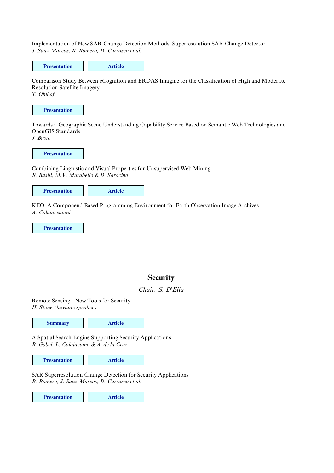Implementation of New SAR Change Detection Methods: Superresolution SAR Change Detector *J. Sanz-Marcos, R. Romero, D. Carrasco et al.*



Comparison Study Between eCognition and ERDAS Imagine for the Classification of High and Moderate Resolution Satellite Imagery

*T. Ohlhof*



Towards a Geographic Scene Understanding Capability Service Based on Semantic Web Technologies and OpenGIS Standards *J. Busto*

Combining Linguistic and Visual Properties for Unsupervised Web Mining *R. Basili, M.V. Marabello & D. Saracino*

**Presentation Article**

KEO: A Componend Based Programming Environment for Earth Observation Image Archives *A. Colapicchioni*

**Presentation**

## **Security**

## *Chair: S. D'Elia*

Remote Sensing - New Tools for Security *H. Stone (keynote speaker)*



A Spatial Search Engine Supporting Security Applications *R. Göbel, L. Colaiacomo & A. de la Cruz*

**Presentation Article** 

SAR Superresolution Change Detection for Security Applications *R. Romero, J. Sanz-Marcos, D. Carrasco et al.*

**Presentation Article**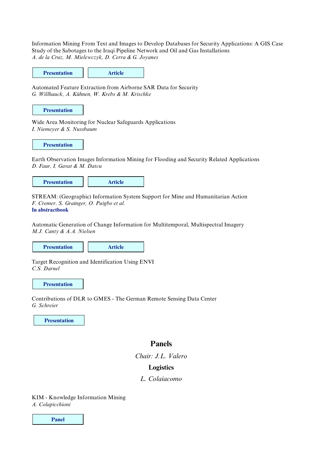Information Mining From Text and Images to Develop Databases for Security Applications: A GIS Case Study of the Sabotages to the Iraqi Pipeline Network and Oil and Gas Installations *A. de la Cruz, M. Mielewczyk, D. Cerra & G. Joyanes*

| <b>Presentation</b> | <b>Article</b> |
|---------------------|----------------|
|---------------------|----------------|

Automated Feature Extraction from Airborne SAR Data for Security *G. Willhauck, A. Kühnen, W. Krebs & M. Krischke*

#### **Presentation**

Wide Area Monitoring for Nuclear Safeguards Applications *I. Niemeyer & S. Nussbaum*

**Presentation**

Earth Observation Images Information Mining for Flooding and Security Related Applications *D. Faur, I. Gavat & M. Datcu*

**Presentation Article** 

STREAM: (Geographic) Information System Support for Mine and Humanitarian Action *F. Cremer, S. Grainger, O. Puigbo et al.* **In abstractbook**

Automatic Generation of Change Information for Multitemporal, Multispectral Imagery *M.J. Canty & A.A. Nielsen*

**Presentation Article** 

Target Recognition and Identification Using ENVI *C.S. Darnel*

**Presentation**

Contributions of DLR to GMES - The German Remote Sensing Data Center *G. Schreier*

**Presentation**

## **Panels**

*Chair: J.L. Valero*

#### **Logistics**

#### *L. Colaiacomo*

KIM - Knowledge Information Mining *A. Colapicchioni*

**Panel**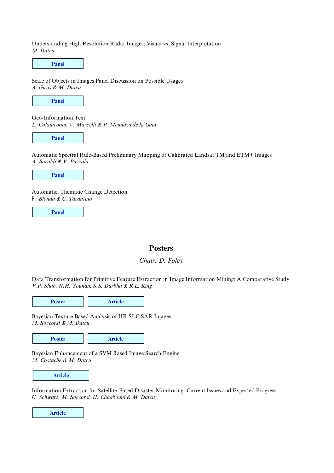Understanding High Resolution Radar Images: Visual vs. Signal Interpretation *M. Datcu*

Scale of Objects in Images Panel Discussion on Possible Usages *A. Giros & M. Datcu* Geo-Information Text *L. Colaiacomo, V. Marcelli & P. Mendoza de la Guia* **Panel Panel**

**Panel**

Automatic Spectral Rule-Based Preliminary Mapping of Calibrated Landsat TM and ETM+ Images *A. Baraldi & V. Puzzolo*

**Panel**

Automatic, Thematic Change Detection *P. Blonda & C. Tarantino* 

**Panel**

## **Posters**

#### *Chair: D. Foley*

Data Transformation for Primitive Feature Extraction in Image Information Mining: A Comparative Study *V.P. Shah, N.H. Younan, S.S. Durbha & R.L. King*

**Poster Article**

Bayesian Texture Based Analysis of HR SLC SAR Images *M. Soccorsi & M. Datcu*

**Poster Article**

Bayesian Enhancement of a SVM Based Image Search Engine *M. Costache & M. Datcu*

Information Extraction for Satellite-Based Disaster Monitoring: Current Issues and Expected Progress *G. Schwarz, M. Soccorsi, H. Chaabouni & M. Datcu*

**Article**